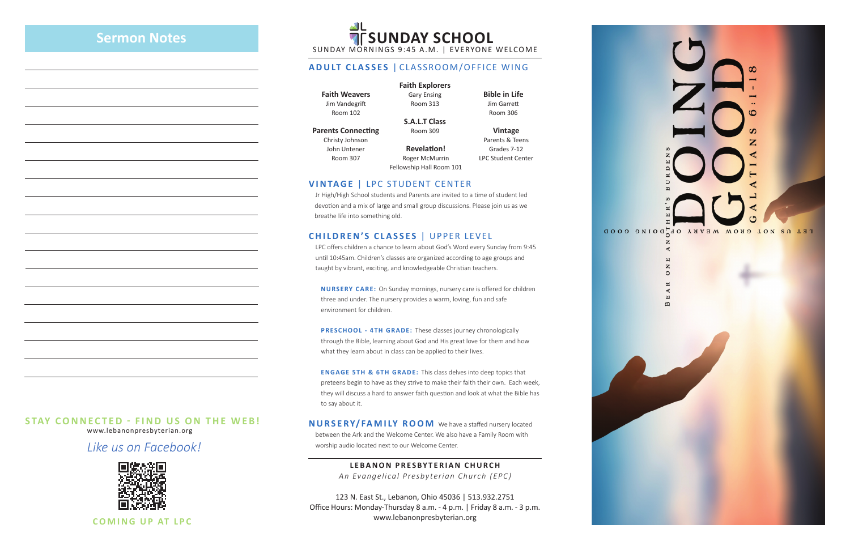www.lebanonpresbyterian.org

*Like us on Facebook!*



**COMING UP AT LPC**

## **STAY CONNECTED - FIND US ON THE WEB!**

SUNDAY MORNINGS 9:45 A.M. | EVERYONE WELCOME

#### **ADULT CLASSES** | CLASSROOM/OFFICE WING

**Faith Weavers** Jim Vandegrift Room 102

**Parents Connecting** Christy Johnson John Untener Room 307

#### **Faith Explorers**

Gary Ensing Room 313

**S.A.L.T Class** Room 309

**Bible in Life** Jim Garrett Room 306

**Vintage** Parents & Teens Grades 7-12 LPC Student Center

#### **VINTAGE** | LPC STUDENT CENTER

 Jr High/High School students and Parents are invited to a time of student led devotion and a mix of large and small group discussions. Please join us as we breathe life into something old.

#### **CHILDREN'S CLASSES** | UPPER LEVEL

 LPC offers children a chance to learn about God's Word every Sunday from 9:45 until 10:45am. Children's classes are organized according to age groups and taught by vibrant, exciting, and knowledgeable Christian teachers.

 **NURSERY CARE:** On Sunday mornings, nursery care is offered for children three and under. The nursery provides a warm, loving, fun and safe environment for children.

**PRESCHOOL - 4TH GRADE:** These classes journey chronologically through the Bible, learning about God and His great love for them and how what they learn about in class can be applied to their lives.

**ENGAGE 5TH & 6TH GRADE:** This class delves into deep topics that preteens begin to have as they strive to make their faith their own. Each week, they will discuss a hard to answer faith question and look at what the Bible has to say about it.

**NURSERY/FAMILY ROOM** We have a staffed nursery located between the Ark and the Welcome Center. We also have a Family Room with worship audio located next to our Welcome Center.

> **LEBANON PRESBYTERIAN CHURCH** *An Evangelical Presbyterian Church (EPC)*

123 N. East St., Lebanon, Ohio 45036 | 513.932.2751 Office Hours: Monday-Thursday 8 a.m. - 4 p.m. | Friday 8 a.m. - 3 p.m. www.lebanonpresbyterian.org

LET US NOT GROW WEARY OF QUOGLOGD  $\overline{z}$  $\alpha$  $\overline{z}$  $\circ$ 

**Revelation!** Roger McMurrin Fellowship Hall Room 101

# **Sermon Notes**

# **ALL SUNDAY SCHOOL**